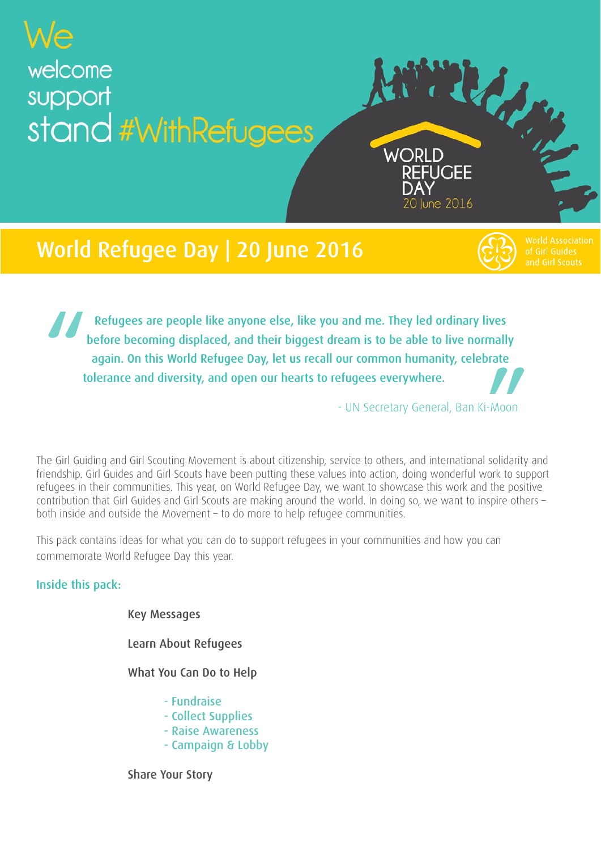# welcome support stand #WithRefugees



Refugees are people like anyone else, like you and me. They led ordinary lives before becoming displaced, and their biggest dream is to be able to live normally again. On this World Refugee Day, let us recall our common humanity, celebrate tolerance and diversity, and open our hearts to refugees everywhere.

- UN Secretary General, Ban Ki-Moon

**WORLD** 

**REFUGEE** 

20 June 2016

**World Association** 

The Girl Guiding and Girl Scouting Movement is about citizenship, service to others, and international solidarity and friendship. Girl Guides and Girl Scouts have been putting these values into action, doing wonderful work to support refugees in their communities. This year, on World Refugee Day, we want to showcase this work and the positive contribution that Girl Guides and Girl Scouts are making around the world. In doing so, we want to inspire others – both inside and outside the Movement – to do more to help refugee communities.

This pack contains ideas for what you can do to support refugees in your communities and how you can commemorate World Refugee Day this year.

Inside this pack:

Key Messages

Learn About Refugees

What You Can Do to Help

- Fundraise
- Collect Supplies
- Raise Awareness
- Campaign & Lobby

Share Your Story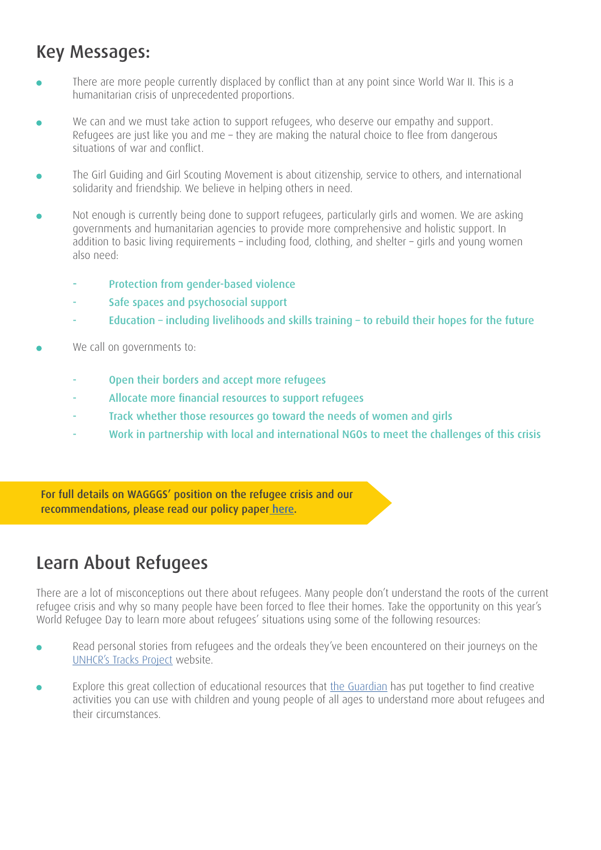# Key Messages:

- There are more people currently displaced by conflict than at any point since World War II. This is a humanitarian crisis of unprecedented proportions.
- We can and we must take action to support refugees, who deserve our empathy and support. Refugees are just like you and me – they are making the natural choice to flee from dangerous situations of war and conflict.
- The Girl Guiding and Girl Scouting Movement is about citizenship, service to others, and international solidarity and friendship. We believe in helping others in need.
- Not enough is currently being done to support refugees, particularly girls and women. We are asking governments and humanitarian agencies to provide more comprehensive and holistic support. In addition to basic living requirements – including food, clothing, and shelter – girls and young women also need:
	- Protection from gender-based violence
	- Safe spaces and psychosocial support
	- Education including livelihoods and skills training to rebuild their hopes for the future
- We call on governments to:
	- Open their borders and accept more refugees
	- Allocate more financial resources to support refugees
	- Track whether those resources go toward the needs of women and girls
	- Work in partnership with local and international NGOs to meet the challenges of this crisis

For full details on WAGGGS' position on the refugee crisis and our recommendations, please read our policy paper [here](https://www.wagggs.org/documents/1067/WRD_PolicyPaper_EN.pdf).

## Learn About Refugees

There are a lot of misconceptions out there about refugees. Many people don't understand the roots of the current refugee crisis and why so many people have been forced to flee their homes. Take the opportunity on this year's World Refugee Day to learn more about refugees' situations using some of the following resources:

- Read personal stories from refugees and the ordeals they've been encountered on their journeys on the [UNHCR's Tracks Project](http://tracks.unhcr.org/) website.
- Explore this great collection of educational resources that [the Guardian](http://www.theguardian.com/teacher-network/2015/may/25/how-to-teach-refugees) has put together to find creative activities you can use with children and young people of all ages to understand more about refugees and their circumstances.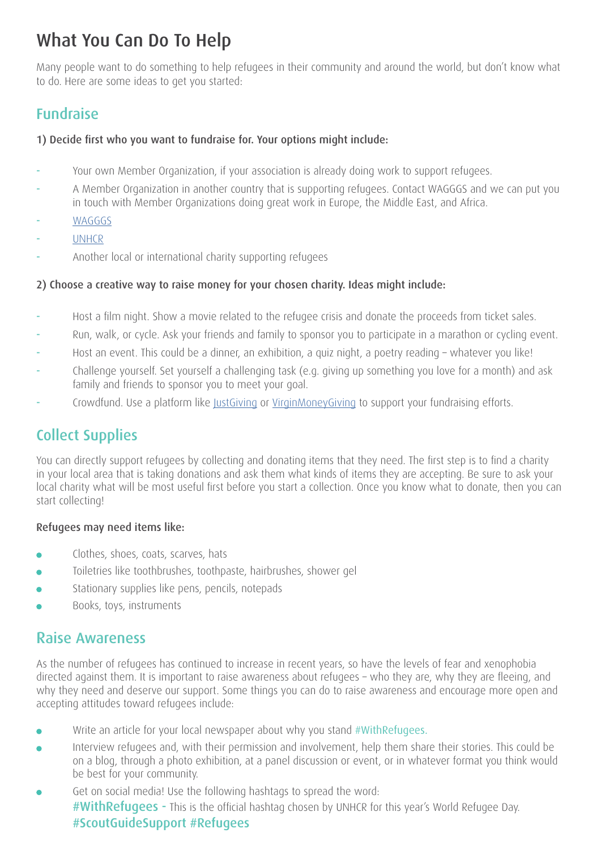# What You Can Do To Help

Many people want to do something to help refugees in their community and around the world, but don't know what to do. Here are some ideas to get you started:

## Fundraise

#### 1) Decide first who you want to fundraise for. Your options might include:

- Your own Member Organization, if your association is already doing work to support refugees.
- A Member Organization in another country that is supporting refugees. Contact WAGGGS and we can put you in touch with Member Organizations doing great work in Europe, the Middle East, and Africa.
- [WAGGGS](https://www.wagggs.org/en/)
- [UNHCR](http://www.unhcr.org.uk/)
- Another local or international charity supporting refugees

#### 2) Choose a creative way to raise money for your chosen charity. Ideas might include:

- Host a film night. Show a movie related to the refugee crisis and donate the proceeds from ticket sales.
- Run, walk, or cycle. Ask your friends and family to sponsor you to participate in a marathon or cycling event.
- Host an event. This could be a dinner, an exhibition, a quiz night, a poetry reading whatever you like!
- Challenge yourself. Set yourself a challenging task (e.g. giving up something you love for a month) and ask family and friends to sponsor you to meet your goal.
- Crowdfund. Use a platform like [JustGiving](https://home.justgiving.com/) or [VirginMoneyGiving](http://uk.virginmoneygiving.com/giving/) to support your fundraising efforts.

## Collect Supplies

You can directly support refugees by collecting and donating items that they need. The first step is to find a charity in your local area that is taking donations and ask them what kinds of items they are accepting. Be sure to ask your local charity what will be most useful first before you start a collection. Once you know what to donate, then you can start collecting!

#### Refugees may need items like:

- Clothes, shoes, coats, scarves, hats
- Toiletries like toothbrushes, toothpaste, hairbrushes, shower gel
- Stationary supplies like pens, pencils, notepads
- Books, toys, instruments

### Raise Awareness

As the number of refugees has continued to increase in recent years, so have the levels of fear and xenophobia directed against them. It is important to raise awareness about refugees – who they are, why they are fleeing, and why they need and deserve our support. Some things you can do to raise awareness and encourage more open and accepting attitudes toward refugees include:

- Write an article for your local newspaper about why you stand #WithRefugees.
- Interview refugees and, with their permission and involvement, help them share their stories. This could be on a blog, through a photo exhibition, at a panel discussion or event, or in whatever format you think would be best for your community.
- Get on social media! Use the following hashtags to spread the word:  $\bullet$ #WithRefugees - This is the official hashtag chosen by UNHCR for this year's World Refugee Day. #ScoutGuideSupport #Refugees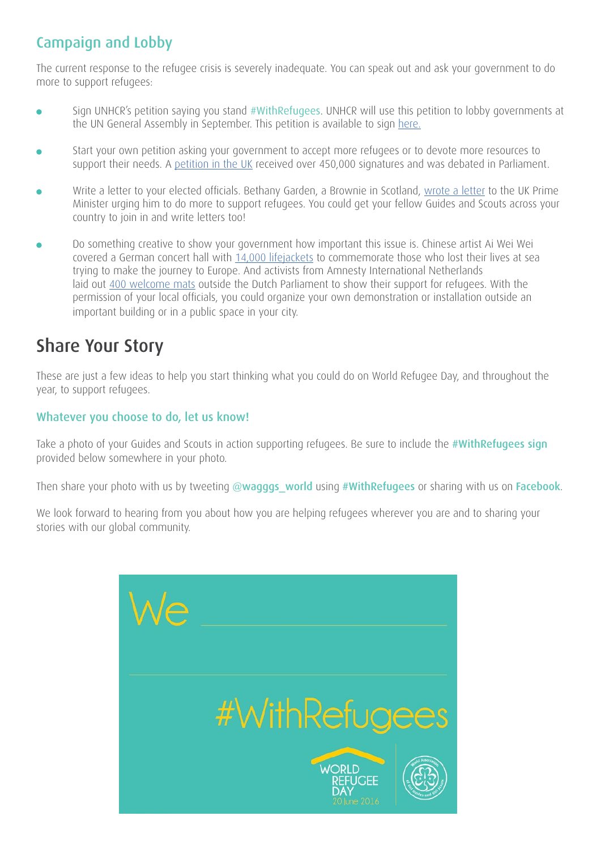## Campaign and Lobby

The current response to the refugee crisis is severely inadequate. You can speak out and ask your government to do more to support refugees:

- Sign UNHCR's petition saying you stand #WithRefugees. UNHCR will use this petition to lobby governments at the UN General Assembly in September. This petition is available to sign [here](http://www.unhcr.org/refugeeday/cy/).
- Start your own petition asking your government to accept more refugees or to devote more resources to support their needs. A [petition in the UK](https://petition.parliament.uk/petitions/105991) received over 450,000 signatures and was debated in Parliament.
- Write a letter to your elected officials. Bethany Garden, a Brownie in Scotland, [wrote a letter](https://www.wagggs.org/en/news/living-promise-girls-guides-and-girl-scouts-supporting-refugee-children/) to the UK Prime Minister urging him to do more to support refugees. You could get your fellow Guides and Scouts across your country to join in and write letters too!
- Do something creative to show your government how important this issue is. Chinese artist Ai Wei Wei covered a German concert hall with [14,000 lifejackets](https://www.facebook.com/ajplusenglish/videos/685790931562417/) to commemorate those who lost their lives at sea trying to make the journey to Europe. And activists from Amnesty International Netherlands laid out [400 welcome mats](https://az734552.vo.msecnd.net/cache/0/f/c/a/3/2/0fca3226f816a08bc8b7c6ad546f6e6f700ebfe5.jpg) outside the Dutch Parliament to show their support for refugees. With the permission of your local officials, you could organize your own demonstration or installation outside an important building or in a public space in your city.

# Share Your Story

These are just a few ideas to help you start thinking what you could do on World Refugee Day, and throughout the year, to support refugees.

#### Whatever you choose to do, let us know!

Take a photo of your Guides and Scouts in action supporting refugees. Be sure to include the #WithRefugees sign provided below somewhere in your photo.

Then share your photo with us by tweeting @wagggs\_world using #WithRefugees or sharing with us on Facebook.

We look forward to hearing from you about how you are helping refugees wherever you are and to sharing your stories with our global community.